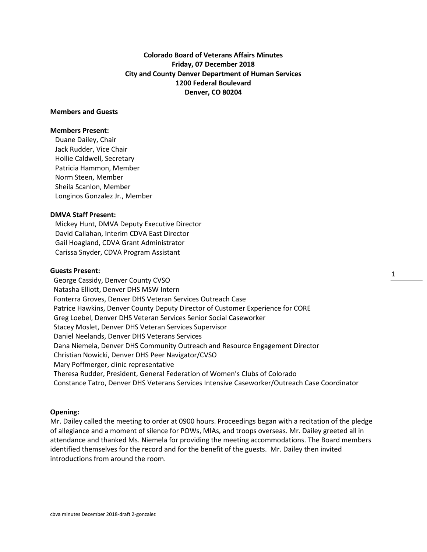**Colorado Board of Veterans Affairs Minutes Friday, 07 December 2018 City and County Denver Department of Human Services 1200 Federal Boulevard Denver, CO 80204**

## **Members and Guests**

### **Members Present:**

Duane Dailey, Chair Jack Rudder, Vice Chair Hollie Caldwell, Secretary Patricia Hammon, Member Norm Steen, Member Sheila Scanlon, Member Longinos Gonzalez Jr., Member

# **DMVA Staff Present:**

Mickey Hunt, DMVA Deputy Executive Director David Callahan, Interim CDVA East Director Gail Hoagland, CDVA Grant Administrator Carissa Snyder, CDVA Program Assistant

## **Guests Present:**

 George Cassidy, Denver County CVSO Natasha Elliott, Denver DHS MSW Intern Fonterra Groves, Denver DHS Veteran Services Outreach Case Patrice Hawkins, Denver County Deputy Director of Customer Experience for CORE Greg Loebel, Denver DHS Veteran Services Senior Social Caseworker Stacey Moslet, Denver DHS Veteran Services Supervisor Daniel Neelands, Denver DHS Veterans Services Dana Niemela, Denver DHS Community Outreach and Resource Engagement Director Christian Nowicki, Denver DHS Peer Navigator/CVSO Mary Poffmerger, clinic representative Theresa Rudder, President, General Federation of Women's Clubs of Colorado Constance Tatro, Denver DHS Veterans Services Intensive Caseworker/Outreach Case Coordinator 1

#### **Opening:**

Mr. Dailey called the meeting to order at 0900 hours. Proceedings began with a recitation of the pledge of allegiance and a moment of silence for POWs, MIAs, and troops overseas. Mr. Dailey greeted all in attendance and thanked Ms. Niemela for providing the meeting accommodations. The Board members identified themselves for the record and for the benefit of the guests. Mr. Dailey then invited introductions from around the room.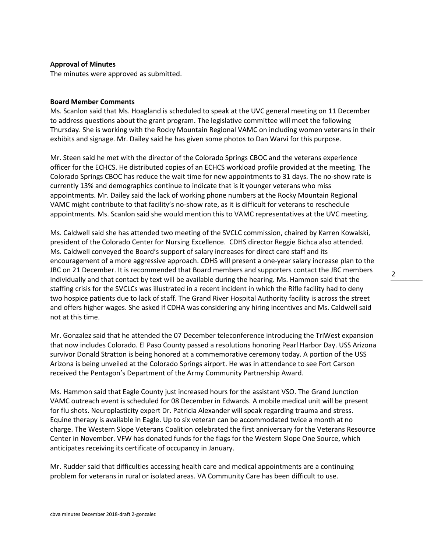## **Approval of Minutes**

The minutes were approved as submitted.

#### **Board Member Comments**

Ms. Scanlon said that Ms. Hoagland is scheduled to speak at the UVC general meeting on 11 December to address questions about the grant program. The legislative committee will meet the following Thursday. She is working with the Rocky Mountain Regional VAMC on including women veterans in their exhibits and signage. Mr. Dailey said he has given some photos to Dan Warvi for this purpose.

Mr. Steen said he met with the director of the Colorado Springs CBOC and the veterans experience officer for the ECHCS. He distributed copies of an ECHCS workload profile provided at the meeting. The Colorado Springs CBOC has reduce the wait time for new appointments to 31 days. The no-show rate is currently 13% and demographics continue to indicate that is it younger veterans who miss appointments. Mr. Dailey said the lack of working phone numbers at the Rocky Mountain Regional VAMC might contribute to that facility's no-show rate, as it is difficult for veterans to reschedule appointments. Ms. Scanlon said she would mention this to VAMC representatives at the UVC meeting.

Ms. Caldwell said she has attended two meeting of the SVCLC commission, chaired by Karren Kowalski, president of the Colorado Center for Nursing Excellence. CDHS director Reggie Bichca also attended. Ms. Caldwell conveyed the Board's support of salary increases for direct care staff and its encouragement of a more aggressive approach. CDHS will present a one-year salary increase plan to the JBC on 21 December. It is recommended that Board members and supporters contact the JBC members individually and that contact by text will be available during the hearing. Ms. Hammon said that the staffing crisis for the SVCLCs was illustrated in a recent incident in which the Rifle facility had to deny two hospice patients due to lack of staff. The Grand River Hospital Authority facility is across the street and offers higher wages. She asked if CDHA was considering any hiring incentives and Ms. Caldwell said not at this time.

Mr. Gonzalez said that he attended the 07 December teleconference introducing the TriWest expansion that now includes Colorado. El Paso County passed a resolutions honoring Pearl Harbor Day. USS Arizona survivor Donald Stratton is being honored at a commemorative ceremony today. A portion of the USS Arizona is being unveiled at the Colorado Springs airport. He was in attendance to see Fort Carson received the Pentagon's Department of the Army Community Partnership Award.

Ms. Hammon said that Eagle County just increased hours for the assistant VSO. The Grand Junction VAMC outreach event is scheduled for 08 December in Edwards. A mobile medical unit will be present for flu shots. Neuroplasticity expert Dr. Patricia Alexander will speak regarding trauma and stress. Equine therapy is available in Eagle. Up to six veteran can be accommodated twice a month at no charge. The Western Slope Veterans Coalition celebrated the first anniversary for the Veterans Resource Center in November. VFW has donated funds for the flags for the Western Slope One Source, which anticipates receiving its certificate of occupancy in January.

Mr. Rudder said that difficulties accessing health care and medical appointments are a continuing problem for veterans in rural or isolated areas. VA Community Care has been difficult to use.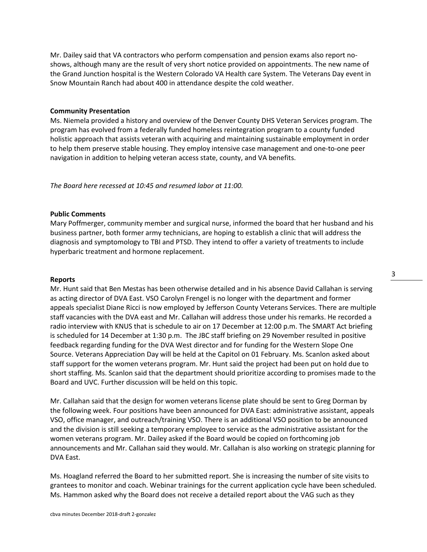Mr. Dailey said that VA contractors who perform compensation and pension exams also report noshows, although many are the result of very short notice provided on appointments. The new name of the Grand Junction hospital is the Western Colorado VA Health care System. The Veterans Day event in Snow Mountain Ranch had about 400 in attendance despite the cold weather.

## **Community Presentation**

Ms. Niemela provided a history and overview of the Denver County DHS Veteran Services program. The program has evolved from a federally funded homeless reintegration program to a county funded holistic approach that assists veteran with acquiring and maintaining sustainable employment in order to help them preserve stable housing. They employ intensive case management and one-to-one peer navigation in addition to helping veteran access state, county, and VA benefits.

*The Board here recessed at 10:45 and resumed labor at 11:00.*

## **Public Comments**

Mary Poffmerger, community member and surgical nurse, informed the board that her husband and his business partner, both former army technicians, are hoping to establish a clinic that will address the diagnosis and symptomology to TBI and PTSD. They intend to offer a variety of treatments to include hyperbaric treatment and hormone replacement.

### **Reports**

Mr. Hunt said that Ben Mestas has been otherwise detailed and in his absence David Callahan is serving as acting director of DVA East. VSO Carolyn Frengel is no longer with the department and former appeals specialist Diane Ricci is now employed by Jefferson County Veterans Services. There are multiple staff vacancies with the DVA east and Mr. Callahan will address those under his remarks. He recorded a radio interview with KNUS that is schedule to air on 17 December at 12:00 p.m. The SMART Act briefing is scheduled for 14 December at 1:30 p.m. The JBC staff briefing on 29 November resulted in positive feedback regarding funding for the DVA West director and for funding for the Western Slope One Source. Veterans Appreciation Day will be held at the Capitol on 01 February. Ms. Scanlon asked about staff support for the women veterans program. Mr. Hunt said the project had been put on hold due to short staffing. Ms. Scanlon said that the department should prioritize according to promises made to the Board and UVC. Further discussion will be held on this topic.

Mr. Callahan said that the design for women veterans license plate should be sent to Greg Dorman by the following week. Four positions have been announced for DVA East: administrative assistant, appeals VSO, office manager, and outreach/training VSO. There is an additional VSO position to be announced and the division is still seeking a temporary employee to service as the administrative assistant for the women veterans program. Mr. Dailey asked if the Board would be copied on forthcoming job announcements and Mr. Callahan said they would. Mr. Callahan is also working on strategic planning for DVA East.

Ms. Hoagland referred the Board to her submitted report. She is increasing the number of site visits to grantees to monitor and coach. Webinar trainings for the current application cycle have been scheduled. Ms. Hammon asked why the Board does not receive a detailed report about the VAG such as they